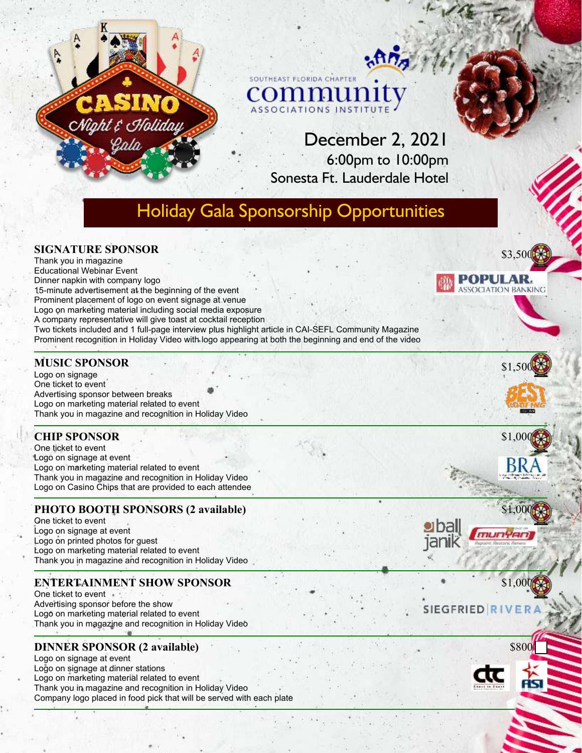

# December 2, 2021 6:00pm to 10:00pm Sonesta Ft. Lauderdale Hotel

# Holiday Gala Sponsorship Opportunities

#### **SIGNATURE SPONSOR**

CNiaht & CHoliday

Thank you in magazine Educational Webinar Event Dinner napkin with company logo 15-minute advertisement at the beginning of the event Prominent placement of logo on event signage at venue Logo on marketing material including social media exposure A company representative will give toast at cocktail reception Two tickets included and 1 full-page interview plus highlight article in CAI-SEFL Community Magazine Prominent recognition in Holiday Video with logo appearing at both the beginning and end of the video

#### **MUSIC SPONSOR**

Logo on signage One ticket to event Advertising sponsor between breaks Logo on marketing material related to event Thank you in magazine and recognition in Holiday Video

# **CHIP SPONSOR**

One ticket to event Logo on signage at event Logo on marketing material related to event Thank you in magazine and recognition in Holiday Video Logo on Casino Chips that are provided to each attendee

# **PHOTO BOOTH SPONSORS (2 available)**

One ticket to event Logo on signage at event Logo on printed photos for guest Logo on marketing material related to event Thank you in magazine and recognition in Holiday Video

# **ENTERTAINMENT SHOW SPONSOR**

One ticket to event  $\cdot$ Advertising sponsor before the show Logo on marketing material related to event Thank you in magazine and recognition in Holiday Video

# **DINNER SPONSOR (2 available)**

Logo on signage at event Logo on signage at dinner stations Logo on marketing material related to event Thank you in magazine and recognition in Holiday Video Company logo placed in food pick that will be served with each plate









\$1.00

# **SIEGFRIED RIV**

\$800